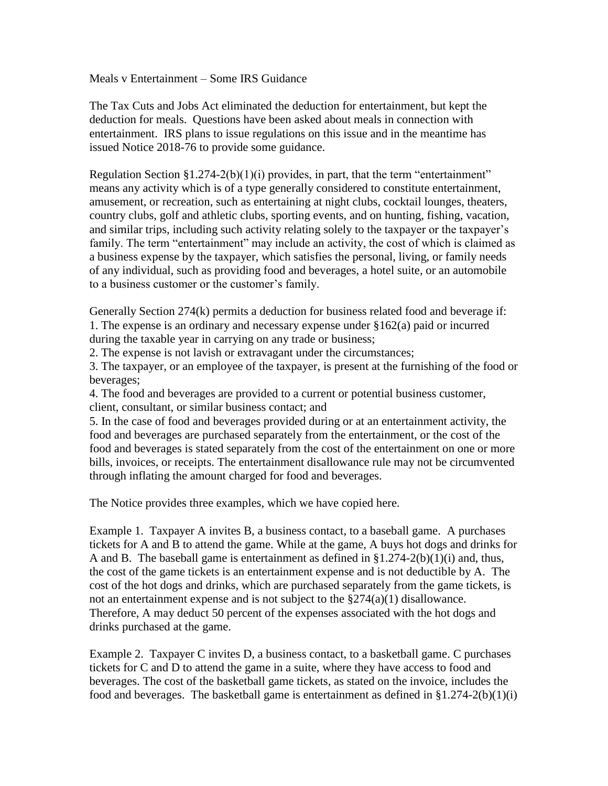Meals v Entertainment – Some IRS Guidance

The Tax Cuts and Jobs Act eliminated the deduction for entertainment, but kept the deduction for meals. Questions have been asked about meals in connection with entertainment. IRS plans to issue regulations on this issue and in the meantime has issued Notice 2018-76 to provide some guidance.

Regulation Section  $$1.274-2(b)(1)(i)$  provides, in part, that the term "entertainment" means any activity which is of a type generally considered to constitute entertainment, amusement, or recreation, such as entertaining at night clubs, cocktail lounges, theaters, country clubs, golf and athletic clubs, sporting events, and on hunting, fishing, vacation, and similar trips, including such activity relating solely to the taxpayer or the taxpayer's family. The term "entertainment" may include an activity, the cost of which is claimed as a business expense by the taxpayer, which satisfies the personal, living, or family needs of any individual, such as providing food and beverages, a hotel suite, or an automobile to a business customer or the customer's family.

Generally Section 274(k) permits a deduction for business related food and beverage if: 1. The expense is an ordinary and necessary expense under §162(a) paid or incurred during the taxable year in carrying on any trade or business;

2. The expense is not lavish or extravagant under the circumstances;

3. The taxpayer, or an employee of the taxpayer, is present at the furnishing of the food or beverages;

4. The food and beverages are provided to a current or potential business customer, client, consultant, or similar business contact; and

5. In the case of food and beverages provided during or at an entertainment activity, the food and beverages are purchased separately from the entertainment, or the cost of the food and beverages is stated separately from the cost of the entertainment on one or more bills, invoices, or receipts. The entertainment disallowance rule may not be circumvented through inflating the amount charged for food and beverages.

The Notice provides three examples, which we have copied here.

Example 1. Taxpayer A invites B, a business contact, to a baseball game. A purchases tickets for A and B to attend the game. While at the game, A buys hot dogs and drinks for A and B. The baseball game is entertainment as defined in  $\S 1.274-2(b)(1)(i)$  and, thus, the cost of the game tickets is an entertainment expense and is not deductible by A. The cost of the hot dogs and drinks, which are purchased separately from the game tickets, is not an entertainment expense and is not subject to the §274(a)(1) disallowance. Therefore, A may deduct 50 percent of the expenses associated with the hot dogs and drinks purchased at the game.

Example 2. Taxpayer C invites D, a business contact, to a basketball game. C purchases tickets for C and D to attend the game in a suite, where they have access to food and beverages. The cost of the basketball game tickets, as stated on the invoice, includes the food and beverages. The basketball game is entertainment as defined in  $\S1.274-2(b)(1)(i)$